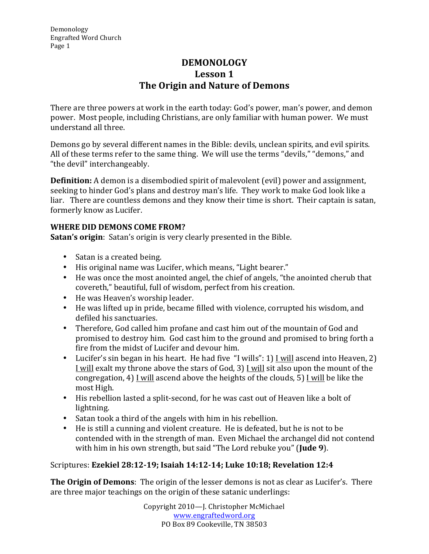# **DEMONOLOGY Lesson 1 The Origin and Nature of Demons**

There are three powers at work in the earth today: God's power, man's power, and demon power. Most people, including Christians, are only familiar with human power. We must understand all three.

Demons go by several different names in the Bible: devils, unclean spirits, and evil spirits. All of these terms refer to the same thing. We will use the terms "devils," "demons." and "the devil" interchangeably.

**Definition:** A demon is a disembodied spirit of malevolent (evil) power and assignment, seeking to hinder God's plans and destroy man's life. They work to make God look like a liar. There are countless demons and they know their time is short. Their captain is satan, formerly know as Lucifer.

## **WHERE DID DEMONS COME FROM?**

**Satan's origin**: Satan's origin is very clearly presented in the Bible.

- Satan is a created being.
- His original name was Lucifer, which means, "Light bearer."
- He was once the most anointed angel, the chief of angels, "the anointed cherub that covereth," beautiful, full of wisdom, perfect from his creation.
- He was Heaven's worship leader.
- He was lifted up in pride, became filled with violence, corrupted his wisdom, and defiled his sanctuaries.
- Therefore, God called him profane and cast him out of the mountain of God and promised to destroy him. God cast him to the ground and promised to bring forth a fire from the midst of Lucifer and devour him.
- Lucifer's sin began in his heart. He had five "I wills": 1) I will ascend into Heaven, 2) I will exalt my throne above the stars of God, 3) I will sit also upon the mount of the congregation, 4) I will ascend above the heights of the clouds, 5) I will be like the most High.
- His rebellion lasted a split-second, for he was cast out of Heaven like a bolt of lightning.
- Satan took a third of the angels with him in his rebellion.
- He is still a cunning and violent creature. He is defeated, but he is not to be contended with in the strength of man. Even Michael the archangel did not contend with him in his own strength, but said "The Lord rebuke you" (Jude 9).

### Scriptures: **Ezekiel 28:12-19; Isaiah 14:12-14; Luke 10:18; Revelation 12:4**

**The Origin of Demons**: The origin of the lesser demons is not as clear as Lucifer's. There are three major teachings on the origin of these satanic underlings: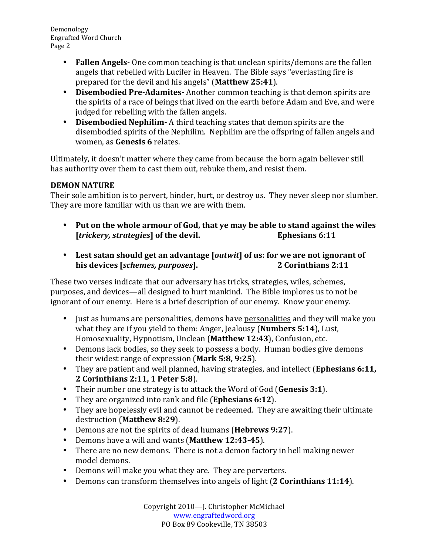- **Fallen Angels** One common teaching is that unclean spirits/demons are the fallen angels that rebelled with Lucifer in Heaven. The Bible says "everlasting fire is prepared for the devil and his angels" (Matthew 25:41).
- **Disembodied Pre-Adamites-** Another common teaching is that demon spirits are the spirits of a race of beings that lived on the earth before Adam and Eve, and were judged for rebelling with the fallen angels.
- **Disembodied Nephilim-** A third teaching states that demon spirits are the disembodied spirits of the Nephilim. Nephilim are the offspring of fallen angels and women, as **Genesis** 6 relates.

Ultimately, it doesn't matter where they came from because the born again believer still has authority over them to cast them out, rebuke them, and resist them.

### **DEMON NATURE**

Their sole ambition is to pervert, hinder, hurt, or destroy us. They never sleep nor slumber. They are more familiar with us than we are with them.

- Put on the whole armour of God, that ye may be able to stand against the wiles *Itrickery, strategies* of the devil. **Example 20** Ephesians 6:11 **[***trickery, strategies*] of the devil.
- Lest satan should get an advantage [*outwit*] of us: for we are not ignorant of **his devices** [*schemes, purposes*]. 2 Corinthians 2:11

These two verses indicate that our adversary has tricks, strategies, wiles, schemes, purposes, and devices—all designed to hurt mankind. The Bible implores us to not be ignorant of our enemy. Here is a brief description of our enemy. Know your enemy.

- Just as humans are personalities, demons have personalities and they will make you what they are if you yield to them: Anger, Jealousy (**Numbers 5:14**), Lust, Homosexuality, Hypnotism, Unclean (Matthew 12:43), Confusion, etc.
- Demons lack bodies, so they seek to possess a body. Human bodies give demons their widest range of expression (Mark 5:8, 9:25).
- They are patient and well planned, having strategies, and intellect (**Ephesians 6:11**, **2 Corinthians 2:11, 1 Peter 5:8**).
- Their number one strategy is to attack the Word of God (Genesis 3:1).
- They are organized into rank and file (**Ephesians 6:12**).
- They are hopelessly evil and cannot be redeemed. They are awaiting their ultimate destruction (**Matthew 8:29**).
- Demons are not the spirits of dead humans (**Hebrews 9:27**).
- Demons have a will and wants (Matthew 12:43-45).
- There are no new demons. There is not a demon factory in hell making newer model demons.
- Demons will make you what they are. They are perverters.
- Demons can transform themselves into angels of light (2 Corinthians 11:14).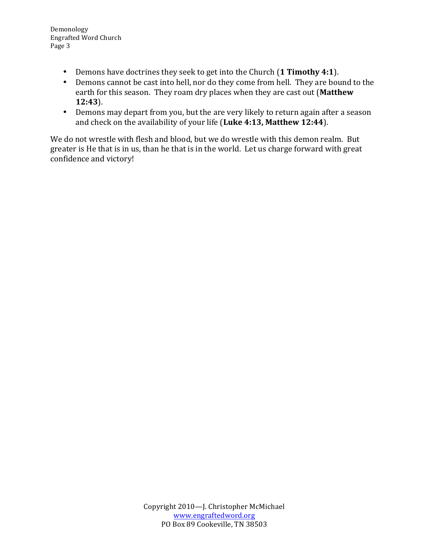- Demons have doctrines they seek to get into the Church (1 **Timothy 4:1**).
- Demons cannot be cast into hell, nor do they come from hell. They are bound to the earth for this season. They roam dry places when they are cast out (Matthew **12:43**).
- Demons may depart from you, but the are very likely to return again after a season and check on the availability of your life (Luke 4:13, Matthew 12:44).

We do not wrestle with flesh and blood, but we do wrestle with this demon realm. But greater is He that is in us, than he that is in the world. Let us charge forward with great confidence and victory!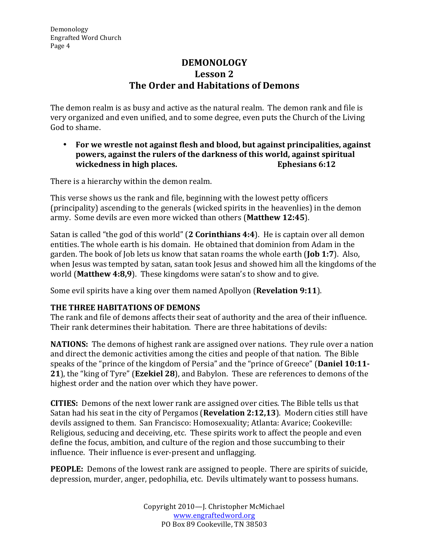# **DEMONOLOGY Lesson 2 The Order and Habitations of Demons**

The demon realm is as busy and active as the natural realm. The demon rank and file is very organized and even unified, and to some degree, even puts the Church of the Living God to shame.

• For we wrestle not against flesh and blood, but against principalities, against **powers, against the rulers of the darkness of this world, against spiritual wickedness in high places. Ephesians 6:12** 

There is a hierarchy within the demon realm.

This verse shows us the rank and file, beginning with the lowest petty officers (principality) ascending to the generals (wicked spirits in the heavenlies) in the demon army. Some devils are even more wicked than others (Matthew 12:45).

Satan is called "the god of this world" (2 **Corinthians 4:4**). He is captain over all demon entities. The whole earth is his domain. He obtained that dominion from Adam in the garden. The book of Job lets us know that satan roams the whole earth (**Job 1:7**). Also, when Jesus was tempted by satan, satan took Jesus and showed him all the kingdoms of the world (Matthew 4:8,9). These kingdoms were satan's to show and to give.

Some evil spirits have a king over them named Apollyon (**Revelation 9:11**).

### **THE THREE HABITATIONS OF DEMONS**

The rank and file of demons affects their seat of authority and the area of their influence. Their rank determines their habitation. There are three habitations of devils:

**NATIONS:** The demons of highest rank are assigned over nations. They rule over a nation and direct the demonic activities among the cities and people of that nation. The Bible speaks of the "prince of the kingdom of Persia" and the "prince of Greece" (Daniel 10:11-**21**), the "king of Tyre" (**Ezekiel 28**), and Babylon. These are references to demons of the highest order and the nation over which they have power.

**CITIES:** Demons of the next lower rank are assigned over cities. The Bible tells us that Satan had his seat in the city of Pergamos (**Revelation 2:12,13**). Modern cities still have devils assigned to them. San Francisco: Homosexuality; Atlanta: Avarice; Cookeville: Religious, seducing and deceiving, etc. These spirits work to affect the people and even define the focus, ambition, and culture of the region and those succumbing to their influence. Their influence is ever-present and unflagging.

**PEOPLE:** Demons of the lowest rank are assigned to people. There are spirits of suicide, depression, murder, anger, pedophilia, etc. Devils ultimately want to possess humans.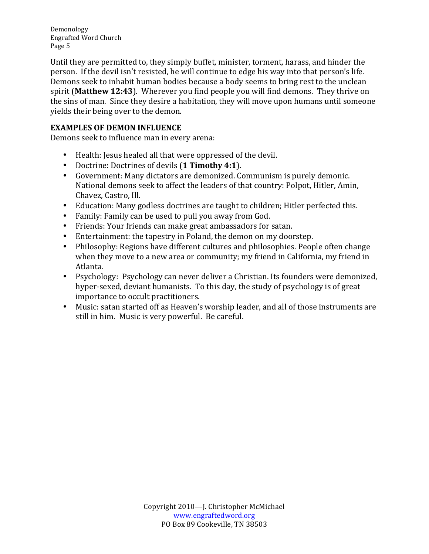Until they are permitted to, they simply buffet, minister, torment, harass, and hinder the person. If the devil isn't resisted, he will continue to edge his way into that person's life. Demons seek to inhabit human bodies because a body seems to bring rest to the unclean spirit (Matthew 12:43). Wherever you find people you will find demons. They thrive on the sins of man. Since they desire a habitation, they will move upon humans until someone yields their being over to the demon.

# **EXAMPLES OF DEMON INFLUENCE**

Demons seek to influence man in every arena:

- Health: Jesus healed all that were oppressed of the devil.
- Doctrine: Doctrines of devils (1 Timothy 4:1).
- Government: Many dictators are demonized. Communism is purely demonic. National demons seek to affect the leaders of that country: Polpot, Hitler, Amin, Chavez, Castro, Ill.
- Education: Many godless doctrines are taught to children; Hitler perfected this.
- Family: Family can be used to pull you away from God.
- Friends: Your friends can make great ambassadors for satan.
- Entertainment: the tapestry in Poland, the demon on my doorstep.
- Philosophy: Regions have different cultures and philosophies. People often change when they move to a new area or community; my friend in California, my friend in Atlanta.
- Psychology: Psychology can never deliver a Christian. Its founders were demonized, hyper-sexed, deviant humanists. To this day, the study of psychology is of great importance to occult practitioners.
- Music: satan started off as Heaven's worship leader, and all of those instruments are still in him. Music is very powerful. Be careful.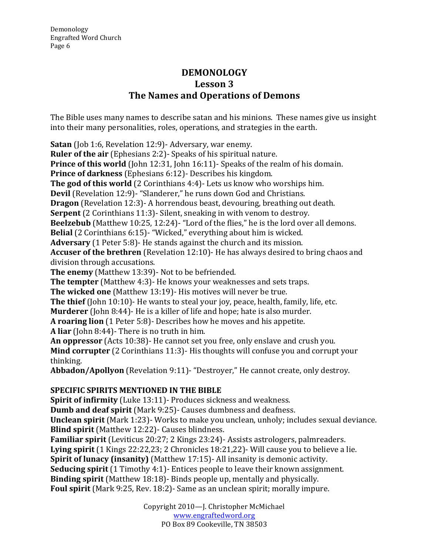# **DEMONOLOGY Lesson 3 The Names and Operations of Demons**

The Bible uses many names to describe satan and his minions. These names give us insight into their many personalities, roles, operations, and strategies in the earth.

**Satan** (Job 1:6, Revelation 12:9)- Adversary, war enemy.

**Ruler of the air** (Ephesians 2:2)- Speaks of his spiritual nature.

**Prince of this world** (John 12:31, John 16:11)- Speaks of the realm of his domain.

**Prince of darkness** (Ephesians 6:12)- Describes his kingdom.

**The god of this world** (2 Corinthians 4:4)- Lets us know who worships him.

**Devil** (Revelation 12:9)- "Slanderer," he runs down God and Christians.

**Dragon** (Revelation 12:3)- A horrendous beast, devouring, breathing out death.

**Serpent** (2 Corinthians 11:3)- Silent, sneaking in with venom to destroy.

**Beelzebub** (Matthew 10:25, 12:24)- "Lord of the flies," he is the lord over all demons.

**Belial** (2 Corinthians 6:15)- "Wicked," everything about him is wicked.

**Adversary** (1 Peter 5:8)- He stands against the church and its mission.

**Accuser of the brethren** (Revelation 12:10)- He has always desired to bring chaos and division through accusations.

**The enemy** (Matthew 13:39)- Not to be befriended.

**The tempter** (Matthew 4:3)- He knows your weaknesses and sets traps.

**The wicked one** (Matthew 13:19)- His motives will never be true.

**The thief** (John 10:10)- He wants to steal your joy, peace, health, family, life, etc.

**Murderer** (John 8:44)- He is a killer of life and hope; hate is also murder.

**A roaring lion** (1 Peter 5:8)- Describes how he moves and his appetite.

**A** liar (John 8:44)- There is no truth in him.

**An oppressor** (Acts 10:38)- He cannot set you free, only enslave and crush you.

**Mind corrupter** (2 Corinthians 11:3)- His thoughts will confuse you and corrupt your thinking.

Abbadon/Apollyon (Revelation 9:11)- "Destroyer," He cannot create, only destroy.

# **SPECIFIC SPIRITS MENTIONED IN THE BIBLE**

**Spirit of infirmity** (Luke 13:11)- Produces sickness and weakness.

**Dumb and deaf spirit** (Mark 9:25)- Causes dumbness and deafness.

**Unclean spirit** (Mark 1:23)- Works to make you unclean, unholy; includes sexual deviance. **Blind spirit** (Matthew 12:22)- Causes blindness.

**Familiar spirit** (Leviticus 20:27; 2 Kings 23:24)- Assists astrologers, palmreaders.

**Lying spirit** (1 Kings 22:22,23; 2 Chronicles 18:21,22)- Will cause you to believe a lie.

**Spirit of lunacy (insanity)** (Matthew 17:15)- All insanity is demonic activity.

**Seducing spirit** (1 Timothy 4:1)- Entices people to leave their known assignment.

**Binding spirit** (Matthew 18:18)- Binds people up, mentally and physically.

**Foul spirit** (Mark 9:25, Rev. 18:2)- Same as an unclean spirit; morally impure.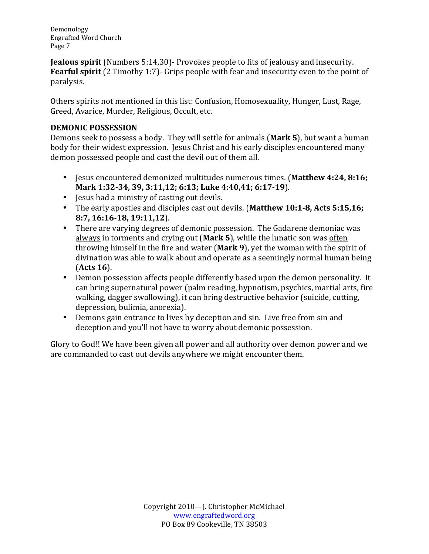**Jealous spirit** (Numbers 5:14,30)- Provokes people to fits of jealousy and insecurity. **Fearful spirit** (2 Timothy 1:7)- Grips people with fear and insecurity even to the point of paralysis.

Others spirits not mentioned in this list: Confusion, Homosexuality, Hunger, Lust, Rage, Greed, Avarice, Murder, Religious, Occult, etc.

#### **DEMONIC POSSESSION**

Demons seek to possess a body. They will settle for animals (Mark 5), but want a human body for their widest expression. Jesus Christ and his early disciples encountered many demon possessed people and cast the devil out of them all.

- Jesus encountered demonized multitudes numerous times. (Matthew 4:24, 8:16; **Mark 1:32-34, 39, 3:11,12; 6:13; Luke 4:40,41; 6:17-19**).
- Jesus had a ministry of casting out devils.
- The early apostles and disciples cast out devils. (Matthew 10:1-8, Acts 5:15,16; **8:7, 16:16-18, 19:11,12**).
- There are varying degrees of demonic possession. The Gadarene demoniac was always in torments and crying out (Mark 5), while the lunatic son was often throwing himself in the fire and water (Mark 9), yet the woman with the spirit of divination was able to walk about and operate as a seemingly normal human being (**Acts 16**).
- Demon possession affects people differently based upon the demon personality. It can bring supernatural power (palm reading, hypnotism, psychics, martial arts, fire walking, dagger swallowing), it can bring destructive behavior (suicide, cutting, depression, bulimia, anorexia).
- Demons gain entrance to lives by deception and sin. Live free from sin and deception and you'll not have to worry about demonic possession.

Glory to God!! We have been given all power and all authority over demon power and we are commanded to cast out devils anywhere we might encounter them.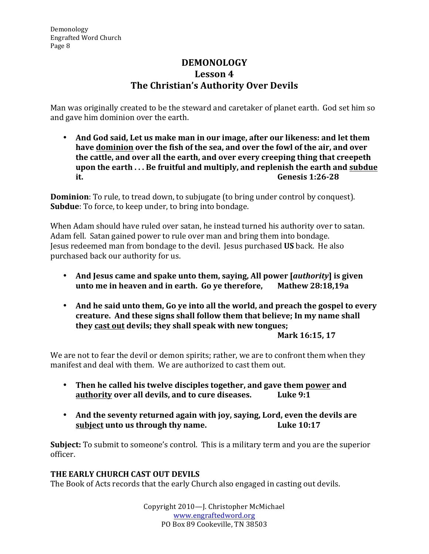# **DEMONOLOGY Lesson 4 The Christian's Authority Over Devils**

Man was originally created to be the steward and caretaker of planet earth. God set him so and gave him dominion over the earth.

• And God said, Let us make man in our image, after our likeness: and let them have dominion over the fish of the sea, and over the fowl of the air, and over the cattle, and over all the earth, and over every creeping thing that creepeth **upon the earth** ... Be fruitful and multiply, and replenish the earth and subdue **it. Genesis** 1:26-28

**Dominion**: To rule, to tread down, to subjugate (to bring under control by conquest). **Subdue**: To force, to keep under, to bring into bondage.

When Adam should have ruled over satan, he instead turned his authority over to satan. Adam fell. Satan gained power to rule over man and bring them into bondage. Jesus redeemed man from bondage to the devil. Jesus purchased US back. He also purchased back our authority for us.

- And Jesus came and spake unto them, saying, All power [*authority*] is given **unto me in heaven and in earth.** Go ye therefore, Mathew 28:18,19a
- And he said unto them, Go ye into all the world, and preach the gospel to every creature. And these signs shall follow them that believe; In my name shall **they cast out devils; they shall speak with new tongues;**

#### **Mark 16:15, 17**

We are not to fear the devil or demon spirits; rather, we are to confront them when they manifest and deal with them. We are authorized to cast them out.

- Then he called his twelve disciples together, and gave them power and **authority over all devils, and to cure diseases.** Luke 9:1
- And the seventy returned again with joy, saying, Lord, even the devils are<br>subject unto us through thy name.<br>Luke 10:17 subject unto us through thy name.

**Subject:** To submit to someone's control. This is a military term and you are the superior officer.

### **THE EARLY CHURCH CAST OUT DEVILS**

The Book of Acts records that the early Church also engaged in casting out devils.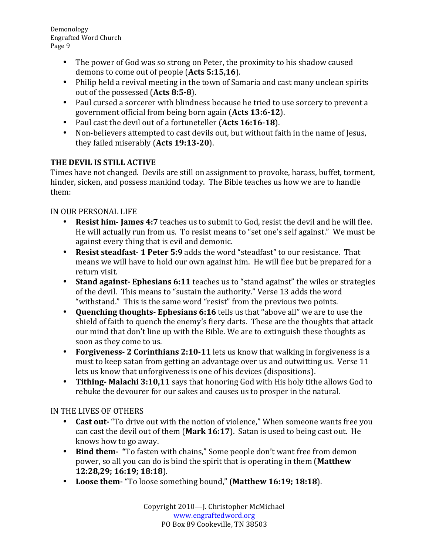- The power of God was so strong on Peter, the proximity to his shadow caused demons to come out of people (Acts 5:15,16).
- Philip held a revival meeting in the town of Samaria and cast many unclean spirits out of the possessed (Acts 8:5-8).
- Paul cursed a sorcerer with blindness because he tried to use sorcery to prevent a government official from being born again (Acts 13:6-12).
- Paul cast the devil out of a fortuneteller (Acts 16:16-18).
- Non-believers attempted to cast devils out, but without faith in the name of Jesus, they failed miserably (Acts 19:13-20).

## **THE DEVIL IS STILL ACTIVE**

Times have not changed. Devils are still on assignment to provoke, harass, buffet, torment, hinder, sicken, and possess mankind today. The Bible teaches us how we are to handle them:

## IN OUR PERSONAL LIFE

- **Resist him-James 4:7** teaches us to submit to God, resist the devil and he will flee. He will actually run from us. To resist means to "set one's self against." We must be against every thing that is evil and demonic.
- **Resist steadfast- 1 Peter 5:9** adds the word "steadfast" to our resistance. That means we will have to hold our own against him. He will flee but be prepared for a return visit.
- Stand against-Ephesians 6:11 teaches us to "stand against" the wiles or strategies of the devil. This means to "sustain the authority." Verse 13 adds the word "withstand." This is the same word "resist" from the previous two points.
- **Quenching thoughts- Ephesians 6:16** tells us that "above all" we are to use the shield of faith to quench the enemy's fiery darts. These are the thoughts that attack our mind that don't line up with the Bible. We are to extinguish these thoughts as soon as they come to us.
- **Forgiveness- 2 Corinthians 2:10-11** lets us know that walking in forgiveness is a must to keep satan from getting an advantage over us and outwitting us. Verse 11 lets us know that unforgiveness is one of his devices (dispositions).
- Tithing- Malachi 3:10,11 says that honoring God with His holy tithe allows God to rebuke the devourer for our sakes and causes us to prosper in the natural.

# IN THE LIVES OF OTHERS

- **Cast out** "To drive out with the notion of violence," When someone wants free you can cast the devil out of them (Mark 16:17). Satan is used to being cast out. He knows how to go away.
- Bind them- "To fasten with chains," Some people don't want free from demon power, so all you can do is bind the spirit that is operating in them (Matthew **12:28,29; 16:19; 18:18**).
- Loose them- "To loose something bound," (Matthew 16:19; 18:18).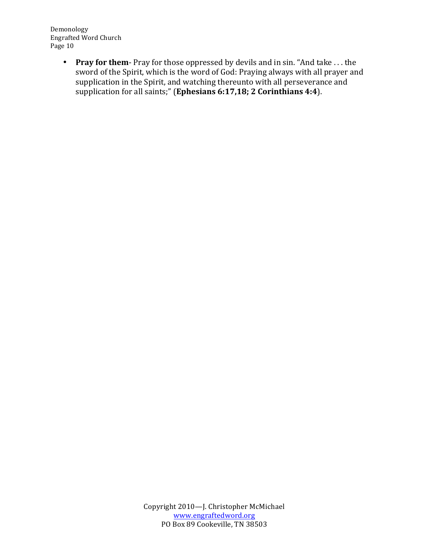> • Pray for them- Pray for those oppressed by devils and in sin. "And take ... the sword of the Spirit, which is the word of God: Praying always with all prayer and supplication in the Spirit, and watching thereunto with all perseverance and supplication for all saints;" (Ephesians 6:17,18; 2 Corinthians 4:4).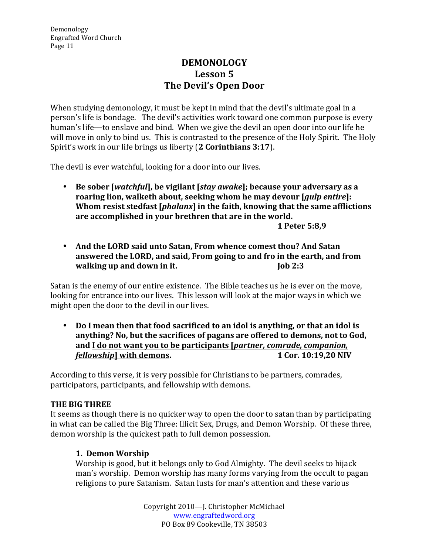# **DEMONOLOGY** Lesson 5 **The Devil's Open Door**

When studying demonology, it must be kept in mind that the devil's ultimate goal in a person's life is bondage. The devil's activities work toward one common purpose is every human's life—to enslave and bind. When we give the devil an open door into our life he will move in only to bind us. This is contrasted to the presence of the Holy Spirit. The Holy Spirit's work in our life brings us liberty (2 Corinthians 3:17).

The devil is ever watchful, looking for a door into our lives.

• Be sober [*watchful*], be vigilant [*stay awake*]; because your adversary as a roaring lion, walketh about, seeking whom he may devour [*gulp entire*]: **Whom resist stedfast [phalanx] in the faith, knowing that the same afflictions** are accomplished in your brethren that are in the world. **1 Peter 5:8,9**

• And the LORD said unto Satan, From whence comest thou? And Satan answered the LORD, and said, From going to and fro in the earth, and from **walking up and down in it. Job** 2:3

Satan is the enemy of our entire existence. The Bible teaches us he is ever on the move, looking for entrance into our lives. This lesson will look at the major ways in which we might open the door to the devil in our lives.

• Do I mean then that food sacrificed to an idol is anything, or that an idol is anything? No, but the sacrifices of pagans are offered to demons, not to God, and I do not want you to be participants [*partner, comrade, companion, fellowship* **divided with demons. 1** Cor. 10:19,20 NIV

According to this verse, it is very possible for Christians to be partners, comrades, participators, participants, and fellowship with demons.

### **THE BIG THREE**

It seems as though there is no quicker way to open the door to satan than by participating in what can be called the Big Three: Illicit Sex, Drugs, and Demon Worship. Of these three, demon worship is the quickest path to full demon possession.

#### **1. Demon Worship**

Worship is good, but it belongs only to God Almighty. The devil seeks to hijack man's worship. Demon worship has many forms varying from the occult to pagan religions to pure Satanism. Satan lusts for man's attention and these various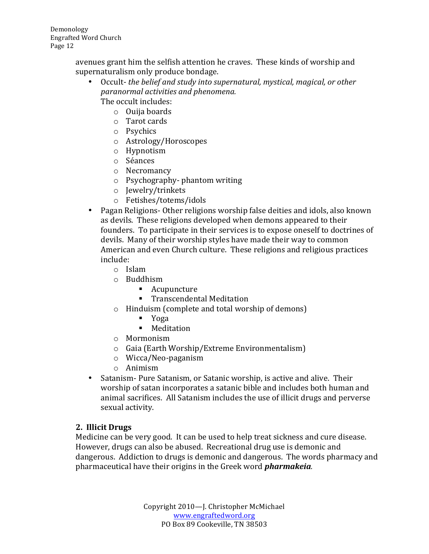> avenues grant him the selfish attention he craves. These kinds of worship and supernaturalism only produce bondage.

- Occult- *the belief and study into supernatural, mystical, magical, or other paranormal activities and phenomena.* The occult includes:
	- o Ouija boards
		- $\circ$  Tarot cards
		-
		- o Psychics
		- o Astrology/Horoscopes
		- o Hypnotism
		- o Séances
		- o Necromancy
		- $\circ$  Psychography- phantom writing
		- o Jewelry/trinkets
		- o Fetishes/totems/idols
- Pagan Religions- Other religions worship false deities and idols, also known as devils. These religions developed when demons appeared to their founders. To participate in their services is to expose oneself to doctrines of devils. Many of their worship styles have made their way to common American and even Church culture. These religions and religious practices include:
	- o Islam
	- o Buddhism
		- Acupuncture
		- Transcendental Meditation
	- $\circ$  Hinduism (complete and total worship of demons)
		- § Yoga
		- Meditation
	- o Mormonism
	- $\circ$  Gaia (Earth Worship/Extreme Environmentalism)
	- o Wicca/Neo-paganism
	- o Animism
- Satanism- Pure Satanism, or Satanic worship, is active and alive. Their worship of satan incorporates a satanic bible and includes both human and animal sacrifices. All Satanism includes the use of illicit drugs and perverse sexual activity.

### **2. Illicit Drugs**

Medicine can be very good. It can be used to help treat sickness and cure disease. However, drugs can also be abused. Recreational drug use is demonic and dangerous. Addiction to drugs is demonic and dangerous. The words pharmacy and pharmaceutical have their origins in the Greek word **pharmakeia**.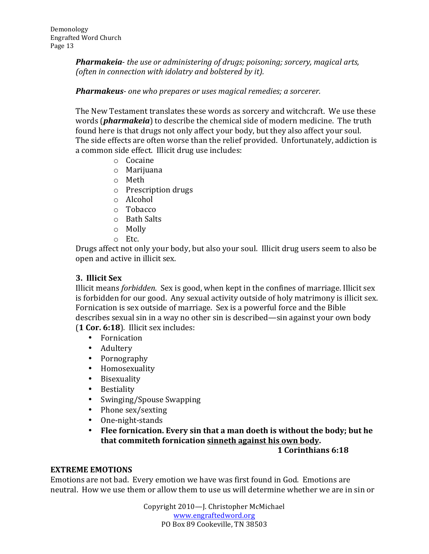**Pharmakeia**- *the use or administering of drugs; poisoning; sorcery, magical arts, (often in connection with idolatry and bolstered by it).* 

#### **Pharmakeus**- one who prepares or uses magical remedies; a sorcerer.

The New Testament translates these words as sorcery and witchcraft. We use these words (*pharmakeia*) to describe the chemical side of modern medicine. The truth found here is that drugs not only affect your body, but they also affect your soul. The side effects are often worse than the relief provided. Unfortunately, addiction is a common side effect. Illicit drug use includes:

- o Cocaine
- o Marijuana
- o Meth
- $\circ$  Prescription drugs
- o Alcohol
- o Tobacco
- o Bath Salts
- o Molly
- o Etc.

Drugs affect not only your body, but also your soul. Illicit drug users seem to also be open and active in illicit sex.

#### **3. Illicit Sex**

Illicit means *forbidden*. Sex is good, when kept in the confines of marriage. Illicit sex is forbidden for our good. Any sexual activity outside of holy matrimony is illicit sex. Fornication is sex outside of marriage. Sex is a powerful force and the Bible describes sexual sin in a way no other sin is described—sin against your own body (**1 Cor. 6:18**). Illicit sex includes:

- Fornication
- Adultery
- Pornography
- Homosexuality
- Bisexuality
- Bestiality
- Swinging/Spouse Swapping
- Phone sex/sexting
- One-night-stands
- Flee fornication. Every sin that a man doeth is without the body; but he that commiteth fornication sinneth against his own body.

#### **1 Corinthians 6:18**

#### **EXTREME EMOTIONS**

Emotions are not bad. Every emotion we have was first found in God. Emotions are neutral. How we use them or allow them to use us will determine whether we are in sin or